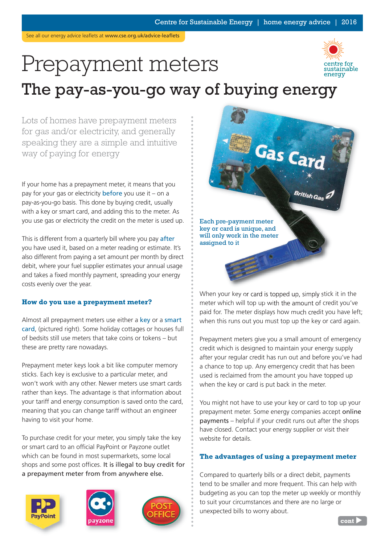

# Prepayment meters The pay-as-you-go way of buying energy

Lots of homes have prepayment meters for gas and/or electricity, and generally speaking they are a simple and intuitive way of paying for energy

If your home has a prepayment meter, it means that you pay for your gas or electricity before you use it – on a pay-as-you-go basis. This done by buying credit, usually with a key or smart card, and adding this to the meter. As you use gas or electricity the credit on the meter is used up.

This is different from a quarterly bill where you pay after you have used it, based on a meter reading or estimate. It's also different from paying a set amount per month by direct debit, where your fuel supplier estimates your annual usage and takes a fixed monthly payment, spreading your energy costs evenly over the year.

### **How do you use a prepayment meter?**

Almost all prepayment meters use either a key or a smart card, (pictured right). Some holiday cottages or houses full of bedsits still use meters that take coins or tokens – but these are pretty rare nowadays.

Prepayment meter keys look a bit like computer memory sticks. Each key is exclusive to a particular meter, and won't work with any other. Newer meters use smart cards rather than keys. The advantage is that information about your tariff and energy consumption is saved onto the card, meaning that you can change tariff without an engineer having to visit your home.

To purchase credit for your meter, you simply take the key or smart card to an official PayPoint or Payzone outlet which can be found in most supermarkets, some local shops and some post offices. It is illegal to buy credit for a prepayment meter from from anywhere else.







Each pre-payment meter key or card is unique, and will only work in the meter assigned to it

When your key or card is topped up, simply stick it in the meter which will top up with the amount of credit you've paid for. The meter displays how much credit you have left; when this runs out you must top up the key or card again.

Gas Car

British Gas é

Prepayment meters give you a small amount of emergency credit which is designed to maintain your energy supply after your regular credit has run out and before you've had a chance to top up. Any emergency credit that has been used is reclaimed from the amount you have topped up when the key or card is put back in the meter.

You might not have to use your key or card to top up your prepayment meter. Some energy companies accept online payments – helpful if your credit runs out after the shops have closed. Contact your energy supplier or visit their website for details.

### **The advantages of using a prepayment meter**

Compared to quarterly bills or a direct debit, payments tend to be smaller and more frequent. This can help with budgeting as you can top the meter up weekly or monthly to suit your circumstances and there are no large or unexpected bills to worry about.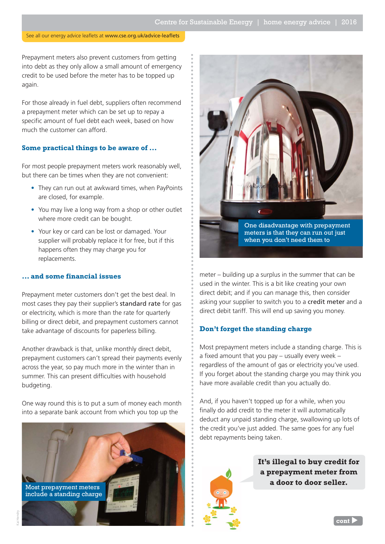Prepayment meters also prevent customers from getting into debt as they only allow a small amount of emergency credit to be used before the meter has to be topped up again.

For those already in fuel debt, suppliers often recommend a prepayment meter which can be set up to repay a specific amount of fuel debt each week, based on how much the customer can afford.

#### **Some practical things to be aware of ...**

For most people prepayment meters work reasonably well, but there can be times when they are not convenient:

- They can run out at awkward times, when PayPoints are closed, for example.
- You may live a long way from a shop or other outlet where more credit can be bought.
- Your key or card can be lost or damaged. Your supplier will probably replace it for free, but if this happens often they may charge you for replacements.

### **... and some financial issues**

Prepayment meter customers don't get the best deal. In most cases they pay their supplier's standard rate for gas or electricity, which is more than the rate for quarterly billing or direct debit, and prepayment customers cannot take advantage of discounts for paperless billing.

Another drawback is that, unlike monthly direct debit, prepayment customers can't spread their payments evenly across the year, so pay much more in the winter than in summer. This can present difficulties with household budgeting.

One way round this is to put a sum of money each month into a separate bank account from which you top up the





meter – building up a surplus in the summer that can be used in the winter. This is a bit like creating your own direct debit; and if you can manage this, then consider asking your supplier to switch you to a credit meter and a direct debit tariff. This will end up saving you money.

### **Don't forget the standing charge**

Most prepayment meters include a standing charge. This is a fixed amount that you pay – usually every week – regardless of the amount of gas or electricity you've used. If you forget about the standing charge you may think you have more available credit than you actually do.

And, if you haven't topped up for a while, when you finally do add credit to the meter it will automatically deduct any unpaid standing charge, swallowing up lots of the credit you've just added. The same goes for any fuel debt repayments being taken.



**It's illegal to buy credit for a prepayment meter from a door to door seller.**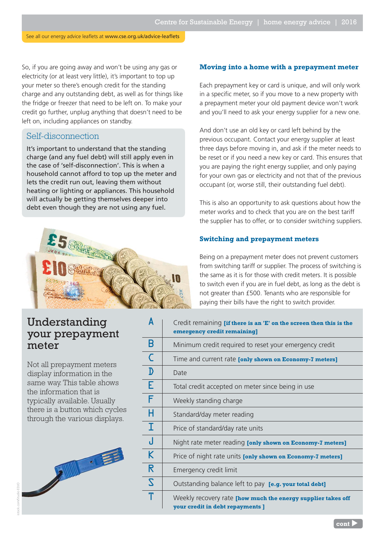So, if you are going away and won't be using any gas or electricity (or at least very little), it's important to top up your meter so there's enough credit for the standing charge and any outstanding debt, as well as for things like the fridge or freezer that need to be left on. To make your credit go further, unplug anything that doesn't need to be left on, including appliances on standby.

### Self-disconnection

It's important to understand that the standing charge (and any fuel debt) will still apply even in the case of 'self-disconnection'. This is when a household cannot afford to top up the meter and lets the credit run out, leaving them without heating or lighting or appliances. This household will actually be getting themselves deeper into debt even though they are not using any fuel.



### Understanding your prepayment meter

Not all prepayment meters display information in the same way. This table shows the information that is typically available. Usually there is a button which cycles through the various displays.



#### **Moving into a home with a prepayment meter**

Each prepayment key or card is unique, and will only work in a specific meter, so if you move to a new property with a prepayment meter your old payment device won't work and you'll need to ask your energy supplier for a new one.

And don't use an old key or card left behind by the previous occupant. Contact your energy supplier at least three days before moving in, and ask if the meter needs to be reset or if you need a new key or card. This ensures that you are paying the right energy supplier, and only paying for your own gas or electricity and not that of the previous occupant (or, worse still, their outstanding fuel debt).

This is also an opportunity to ask questions about how the meter works and to check that you are on the best tariff the supplier has to offer, or to consider switching suppliers.

### **Switching and prepayment meters**

Being on a prepayment meter does not prevent customers from switching tariff or supplier. The process of switching is the same as it is for those with credit meters. It is possible to switch even if you are in fuel debt, as long as the debt is not greater than £500. Tenants who are responsible for paying their bills have the right to switch provider.

| A                 | Credit remaining <i>[if there is an 'E' on the screen then this is the</i><br>emergency credit remaining] |
|-------------------|-----------------------------------------------------------------------------------------------------------|
| B                 | Minimum credit required to reset your emergency credit                                                    |
| C                 | Time and current rate [only shown on Economy-7 meters]                                                    |
| $\mathbf{D}$      | Date                                                                                                      |
| E                 | Total credit accepted on meter since being in use                                                         |
| F                 | Weekly standing charge                                                                                    |
| н                 | Standard/day meter reading                                                                                |
| $\mathbf I$       | Price of standard/day rate units                                                                          |
| J                 | Night rate meter reading [only shown on Economy-7 meters]                                                 |
| K                 | Price of night rate units [only shown on Economy-7 meters]                                                |
| $\mathsf{R}$      | Emergency credit limit                                                                                    |
| $\mathsf{\Sigma}$ | Outstanding balance left to pay [e.g. your total debt]                                                    |
| T                 | Weekly recovery rate [how much the energy supplier takes off<br>your credit in debt repayments ]          |